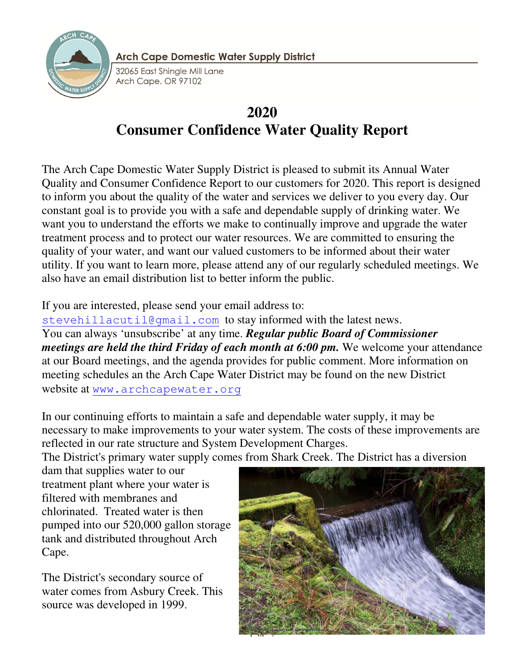

**Arch Cape Domestic Water Supply District** 

32065 East Shinale Mill Lane Arch Cape, OR 97102

# **2020 Consumer Confidence Water Quality Report**

The Arch Cape Domestic Water Supply District is pleased to submit its Annual Water Quality and Consumer Confidence Report to our customers for 2020. This report is designed to inform you about the quality of the water and services we deliver to you every day. Our constant goal is to provide you with a safe and dependable supply of drinking water. We want you to understand the efforts we make to continually improve and upgrade the water treatment process and to protect our water resources. We are committed to ensuring the quality of your water, and want our valued customers to be informed about their water utility. If you want to learn more, please attend any of our regularly scheduled meetings. We also have an email distribution list to better inform the public.

# If you are interested, please send your email address to:

stevehillacutil@gmail.com to stay informed with the latest news. You can always 'unsubscribe' at any time. *Regular public Board of Commissioner meetings are held the third Friday of each month at 6:00 pm.* We welcome your attendance at our Board meetings, and the agenda provides for public comment. More information on meeting schedules an the Arch Cape Water District may be found on the new District website at www.archcapewater.org

In our continuing efforts to maintain a safe and dependable water supply, it may be necessary to make improvements to your water system. The costs of these improvements are reflected in our rate structure and System Development Charges.

The District's primary water supply comes from Shark Creek. The District has a diversion

dam that supplies water to our treatment plant where your water is filtered with membranes and chlorinated. Treated water is then pumped into our 520,000 gallon storage tank and distributed throughout Arch Cape.

The District's secondary source of water comes from Asbury Creek. This source was developed in 1999.

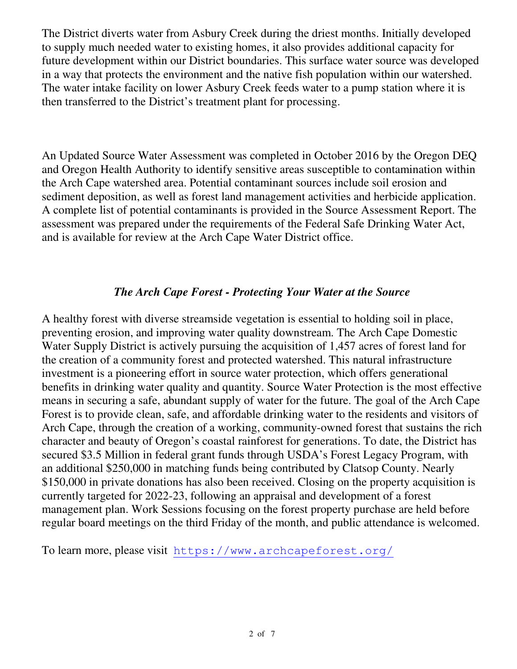The District diverts water from Asbury Creek during the driest months. Initially developed to supply much needed water to existing homes, it also provides additional capacity for future development within our District boundaries. This surface water source was developed in a way that protects the environment and the native fish population within our watershed. The water intake facility on lower Asbury Creek feeds water to a pump station where it is then transferred to the District's treatment plant for processing.

An Updated Source Water Assessment was completed in October 2016 by the Oregon DEQ and Oregon Health Authority to identify sensitive areas susceptible to contamination within the Arch Cape watershed area. Potential contaminant sources include soil erosion and sediment deposition, as well as forest land management activities and herbicide application. A complete list of potential contaminants is provided in the Source Assessment Report. The assessment was prepared under the requirements of the Federal Safe Drinking Water Act, and is available for review at the Arch Cape Water District office.

## *The Arch Cape Forest - Protecting Your Water at the Source*

A healthy forest with diverse streamside vegetation is essential to holding soil in place, preventing erosion, and improving water quality downstream. The Arch Cape Domestic Water Supply District is actively pursuing the acquisition of 1,457 acres of forest land for the creation of a community forest and protected watershed. This natural infrastructure investment is a pioneering effort in source water protection, which offers generational benefits in drinking water quality and quantity. Source Water Protection is the most effective means in securing a safe, abundant supply of water for the future. The goal of the Arch Cape Forest is to provide clean, safe, and affordable drinking water to the residents and visitors of Arch Cape, through the creation of a working, community-owned forest that sustains the rich character and beauty of Oregon's coastal rainforest for generations. To date, the District has secured \$3.5 Million in federal grant funds through USDA's Forest Legacy Program, with an additional \$250,000 in matching funds being contributed by Clatsop County. Nearly \$150,000 in private donations has also been received. Closing on the property acquisition is currently targeted for 2022-23, following an appraisal and development of a forest management plan. Work Sessions focusing on the forest property purchase are held before regular board meetings on the third Friday of the month, and public attendance is welcomed.

To learn more, please visit https://www.archcapeforest.org/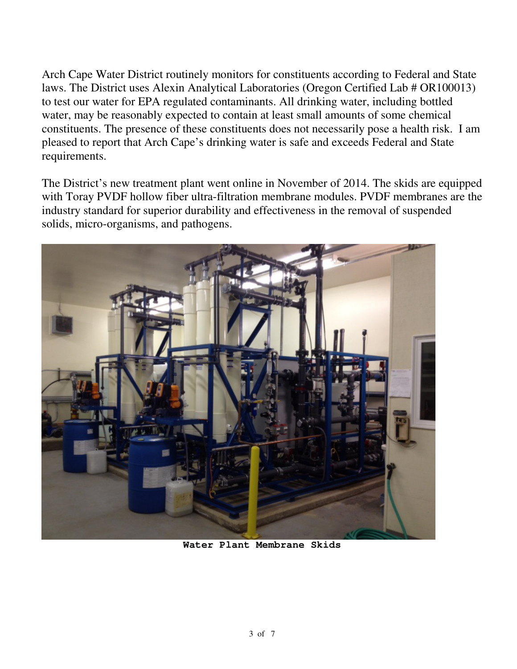Arch Cape Water District routinely monitors for constituents according to Federal and State laws. The District uses Alexin Analytical Laboratories (Oregon Certified Lab # OR100013) to test our water for EPA regulated contaminants. All drinking water, including bottled water, may be reasonably expected to contain at least small amounts of some chemical constituents. The presence of these constituents does not necessarily pose a health risk. I am pleased to report that Arch Cape's drinking water is safe and exceeds Federal and State requirements.

The District's new treatment plant went online in November of 2014. The skids are equipped with Toray PVDF hollow fiber ultra-filtration membrane modules. PVDF membranes are the industry standard for superior durability and effectiveness in the removal of suspended solids, micro-organisms, and pathogens.



**Water Plant Membrane Skids**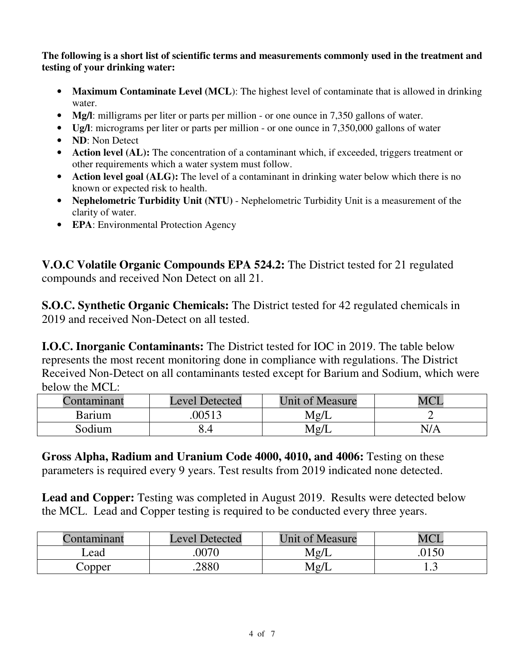**The following is a short list of scientific terms and measurements commonly used in the treatment and testing of your drinking water:** 

- Maximum Contaminate Level (MCL): The highest level of contaminate that is allowed in drinking water.
- **Mg/l**: milligrams per liter or parts per million or one ounce in 7,350 gallons of water.
- **Ug/l**: micrograms per liter or parts per million or one ounce in 7,350,000 gallons of water
- **ND**: Non Detect
- **Action level (AL):** The concentration of a contaminant which, if exceeded, triggers treatment or other requirements which a water system must follow.
- **Action level goal (ALG):** The level of a contaminant in drinking water below which there is no known or expected risk to health.
- **Nephelometric Turbidity Unit (NTU)** Nephelometric Turbidity Unit is a measurement of the clarity of water.
- **EPA**: Environmental Protection Agency

**V.O.C Volatile Organic Compounds EPA 524.2:** The District tested for 21 regulated compounds and received Non Detect on all 21.

**S.O.C. Synthetic Organic Chemicals:** The District tested for 42 regulated chemicals in 2019 and received Non-Detect on all tested.

**I.O.C. Inorganic Contaminants:** The District tested for IOC in 2019. The table below represents the most recent monitoring done in compliance with regulations. The District Received Non-Detect on all contaminants tested except for Barium and Sodium, which were below the MCL:

| ontaminant    | <b>Level Detected</b> | <b>Unit of Measure</b> |     |
|---------------|-----------------------|------------------------|-----|
| <b>Barium</b> | 00513                 | Mg/J                   |     |
| Sodium        | 5.4                   | Mg/J                   | N/A |

**Gross Alpha, Radium and Uranium Code 4000, 4010, and 4006:** Testing on these parameters is required every 9 years. Test results from 2019 indicated none detected.

**Lead and Copper:** Testing was completed in August 2019. Results were detected below the MCL. Lead and Copper testing is required to be conducted every three years.

| Contaminant | <b>Level Detected</b> | <b>Unit of Measure</b> | MCI  |
|-------------|-----------------------|------------------------|------|
| Lead        | 0070                  | Mg/L                   | 0150 |
| Copper      | .2880                 | Mg/L                   | 1.J  |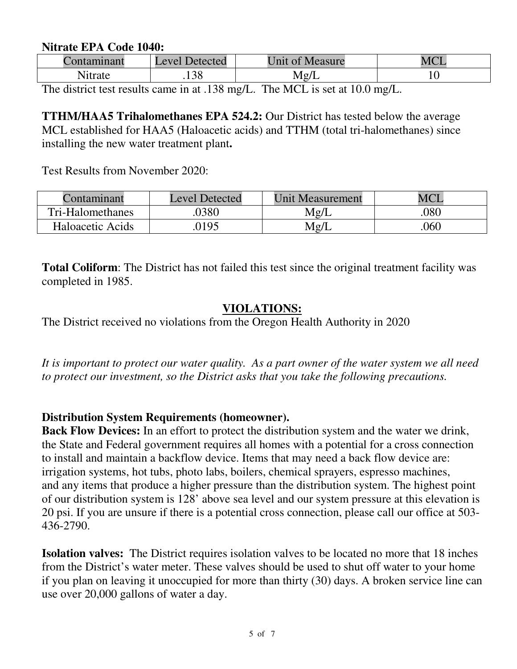#### **Nitrate EPA Code 1040:**

|         | <b>Detected</b><br>Level | <sup>c</sup> Measure<br>$\overline{0}$<br><u>Jnit</u> | $MC^r$ |
|---------|--------------------------|-------------------------------------------------------|--------|
| \1trate | .138                     | Mg/L                                                  | ΙV     |

The district test results came in at .138 mg/L. The MCL is set at 10.0 mg/L.

**TTHM/HAA5 Trihalomethanes EPA 524.2:** Our District has tested below the average MCL established for HAA5 (Haloacetic acids) and TTHM (total tri-halomethanes) since installing the new water treatment plant**.** 

Test Results from November 2020:

| Contaminant      | <b>Level Detected</b> | <b>Unit Measurement</b> |     |
|------------------|-----------------------|-------------------------|-----|
| Tri-Halomethanes | .0380                 | Mg/I                    | 080 |
| Haloacetic Acids | 0195                  | Mg/L                    | 060 |

**Total Coliform**: The District has not failed this test since the original treatment facility was completed in 1985.

## **VIOLATIONS:**

The District received no violations from the Oregon Health Authority in 2020

*It is important to protect our water quality. As a part owner of the water system we all need to protect our investment, so the District asks that you take the following precautions.* 

#### **Distribution System Requirements (homeowner).**

**Back Flow Devices:** In an effort to protect the distribution system and the water we drink, the State and Federal government requires all homes with a potential for a cross connection to install and maintain a backflow device. Items that may need a back flow device are: irrigation systems, hot tubs, photo labs, boilers, chemical sprayers, espresso machines, and any items that produce a higher pressure than the distribution system. The highest point of our distribution system is 128' above sea level and our system pressure at this elevation is 20 psi. If you are unsure if there is a potential cross connection, please call our office at 503- 436-2790.

**Isolation valves:** The District requires isolation valves to be located no more that 18 inches from the District's water meter. These valves should be used to shut off water to your home if you plan on leaving it unoccupied for more than thirty (30) days. A broken service line can use over 20,000 gallons of water a day.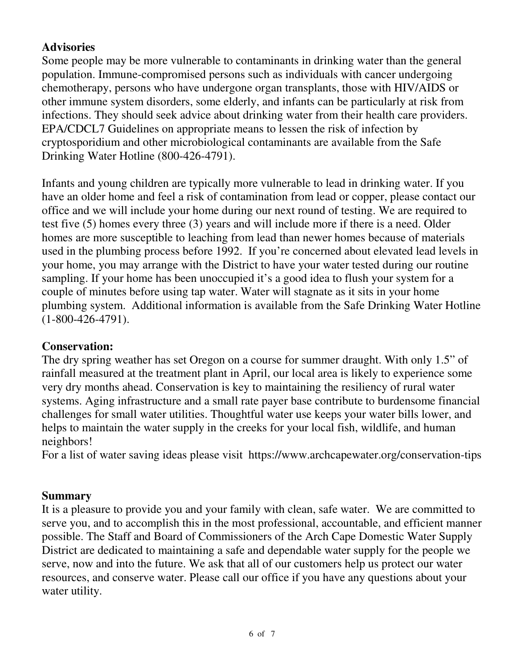# **Advisories**

Some people may be more vulnerable to contaminants in drinking water than the general population. Immune-compromised persons such as individuals with cancer undergoing chemotherapy, persons who have undergone organ transplants, those with HIV/AIDS or other immune system disorders, some elderly, and infants can be particularly at risk from infections. They should seek advice about drinking water from their health care providers. EPA/CDCL7 Guidelines on appropriate means to lessen the risk of infection by cryptosporidium and other microbiological contaminants are available from the Safe Drinking Water Hotline (800-426-4791).

Infants and young children are typically more vulnerable to lead in drinking water. If you have an older home and feel a risk of contamination from lead or copper, please contact our office and we will include your home during our next round of testing. We are required to test five (5) homes every three (3) years and will include more if there is a need. Older homes are more susceptible to leaching from lead than newer homes because of materials used in the plumbing process before 1992. If you're concerned about elevated lead levels in your home, you may arrange with the District to have your water tested during our routine sampling. If your home has been unoccupied it's a good idea to flush your system for a couple of minutes before using tap water. Water will stagnate as it sits in your home plumbing system. Additional information is available from the Safe Drinking Water Hotline (1-800-426-4791).

# **Conservation:**

The dry spring weather has set Oregon on a course for summer draught. With only 1.5" of rainfall measured at the treatment plant in April, our local area is likely to experience some very dry months ahead. Conservation is key to maintaining the resiliency of rural water systems. Aging infrastructure and a small rate payer base contribute to burdensome financial challenges for small water utilities. Thoughtful water use keeps your water bills lower, and helps to maintain the water supply in the creeks for your local fish, wildlife, and human neighbors!

For a list of water saving ideas please visit https://www.archcapewater.org/conservation-tips

# **Summary**

It is a pleasure to provide you and your family with clean, safe water. We are committed to serve you, and to accomplish this in the most professional, accountable, and efficient manner possible. The Staff and Board of Commissioners of the Arch Cape Domestic Water Supply District are dedicated to maintaining a safe and dependable water supply for the people we serve, now and into the future. We ask that all of our customers help us protect our water resources, and conserve water. Please call our office if you have any questions about your water utility.